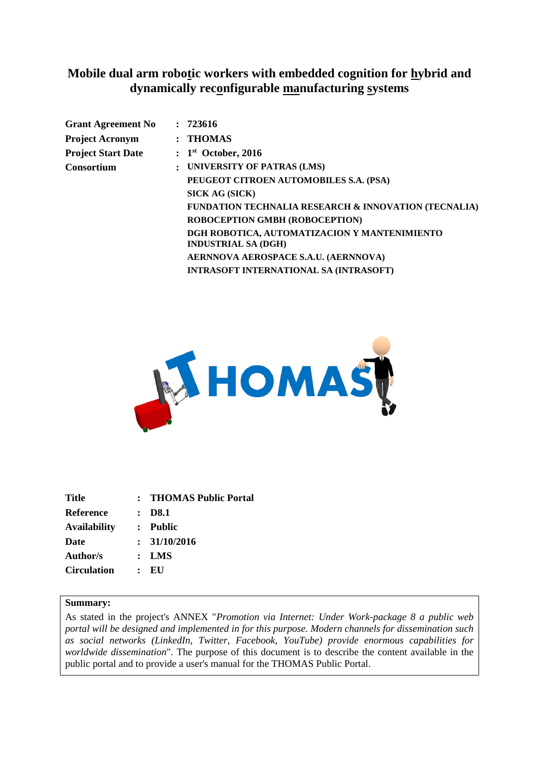## **Mobile dual arm robotic workers with embedded cognition for hybrid and dynamically reconfigurable manufacturing systems**

|                | : 723616                                                                   |
|----------------|----------------------------------------------------------------------------|
|                | $:$ THOMAS                                                                 |
|                | $: 1st$ October, 2016                                                      |
| $\ddot{\cdot}$ | UNIVERSITY OF PATRAS (LMS)                                                 |
|                | PEUGEOT CITROEN AUTOMOBILES S.A. (PSA)                                     |
|                | SICK AG (SICK)                                                             |
|                | <b>FUNDATION TECHNALIA RESEARCH &amp; INNOVATION (TECNALIA)</b>            |
|                | ROBOCEPTION GMBH (ROBOCEPTION)                                             |
|                | DGH ROBOTICA, AUTOMATIZACION Y MANTENIMIENTO<br><b>INDUSTRIAL SA (DGH)</b> |
|                | AERNNOVA AEROSPACE S.A.U. (AERNNOVA)                                       |
|                | <b>INTRASOFT INTERNATIONAL SA (INTRASOFT)</b>                              |
|                |                                                                            |



| <b>Title</b>        |                | : THOMAS Public Portal |
|---------------------|----------------|------------------------|
| Reference           |                | $\therefore$ D8.1      |
| <b>Availability</b> |                | : Public               |
| <b>Date</b>         |                | : 31/10/2016           |
| Author/s            |                | $:$ LMS                |
| <b>Circulation</b>  | $\ddot{\cdot}$ | EU                     |
|                     |                |                        |

#### **Summary:**

As stated in the project's ANNEX "*Promotion via Internet: Under Work-package 8 a public web portal will be designed and implemented in for this purpose. Modern channels for dissemination such as social networks (LinkedIn, Twitter, Facebook, YouTube) provide enormous capabilities for worldwide dissemination*". The purpose of this document is to describe the content available in the public portal and to provide a user's manual for the THOMAS Public Portal.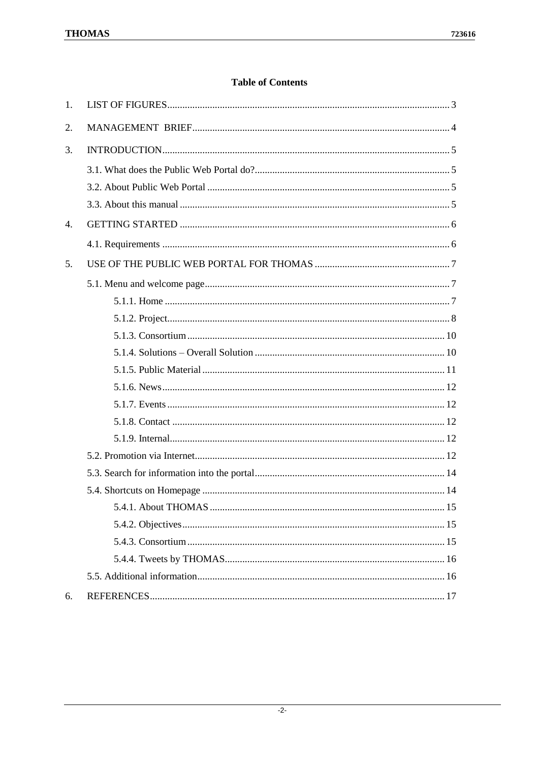### **Table of Contents**

| 1. |  |
|----|--|
| 2. |  |
| 3. |  |
|    |  |
|    |  |
|    |  |
| 4. |  |
|    |  |
| 5. |  |
|    |  |
|    |  |
|    |  |
|    |  |
|    |  |
|    |  |
|    |  |
|    |  |
|    |  |
|    |  |
|    |  |
|    |  |
|    |  |
|    |  |
|    |  |
|    |  |
|    |  |
|    |  |
| 6. |  |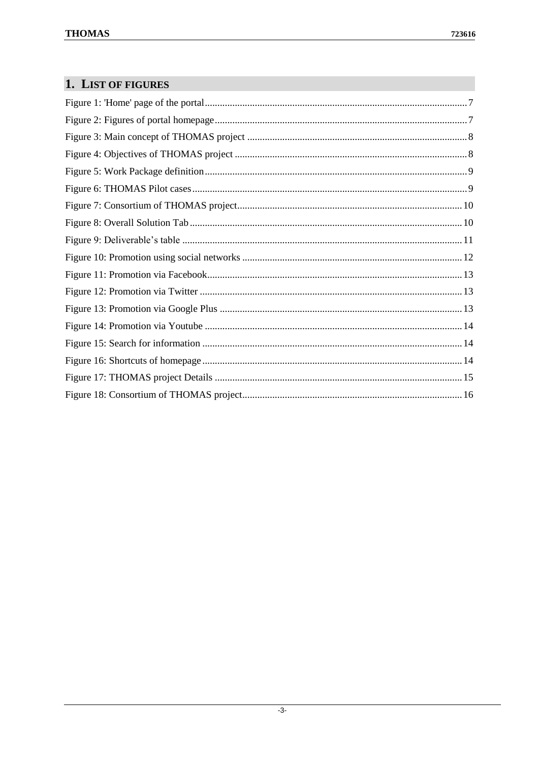# <span id="page-2-0"></span>1. LIST OF FIGURES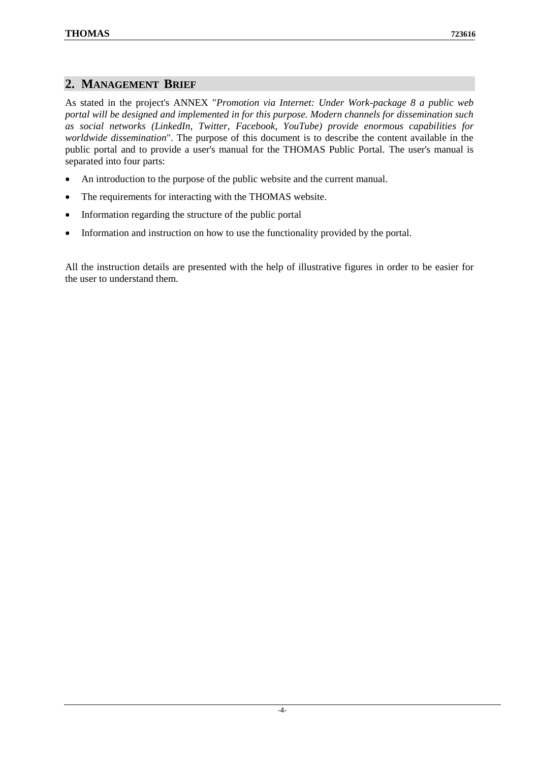### <span id="page-3-0"></span>**2. MANAGEMENT BRIEF**

As stated in the project's ANNEX "*Promotion via Internet: Under Work-package 8 a public web portal will be designed and implemented in for this purpose. Modern channels for dissemination such as social networks (LinkedIn, Twitter, Facebook, YouTube) provide enormous capabilities for worldwide dissemination*". The purpose of this document is to describe the content available in the public portal and to provide a user's manual for the THOMAS Public Portal. The user's manual is separated into four parts:

- An introduction to the purpose of the public website and the current manual.
- The requirements for interacting with the THOMAS website.
- Information regarding the structure of the public portal
- Information and instruction on how to use the functionality provided by the portal.

All the instruction details are presented with the help of illustrative figures in order to be easier for the user to understand them.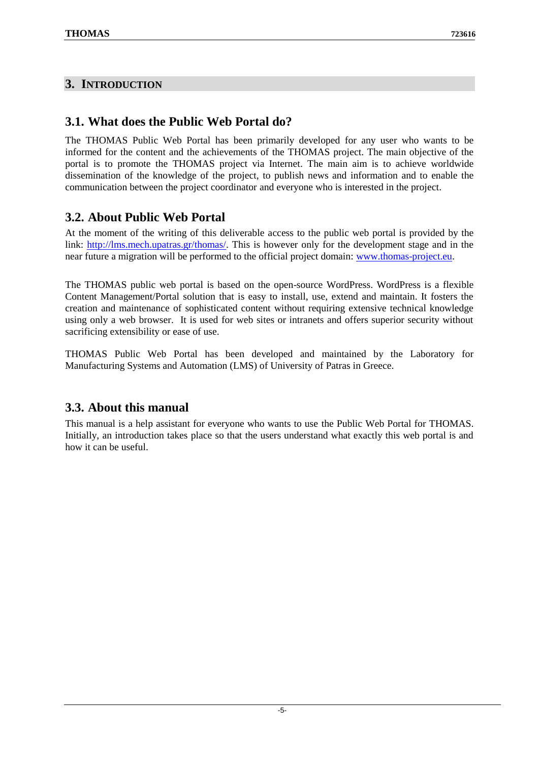## <span id="page-4-0"></span>**3. INTRODUCTION**

## <span id="page-4-1"></span>**3.1. What does the Public Web Portal do?**

The THOMAS Public Web Portal has been primarily developed for any user who wants to be informed for the content and the achievements of the THOMAS project. The main objective of the portal is to promote the THOMAS project via Internet. The main aim is to achieve worldwide dissemination of the knowledge of the project, to publish news and information and to enable the communication between the project coordinator and everyone who is interested in the project.

## <span id="page-4-2"></span>**3.2. About Public Web Portal**

At the moment of the writing of this deliverable access to the public web portal is provided by the link: [http://lms.mech.upatras.gr/thomas/.](http://lms.mech.upatras.gr/thomas/) This is however only for the development stage and in the near future a migration will be performed to the official project domain: [www.thomas-project.eu.](http://www.thomas-project.eu/)

The THOMAS public web portal is based on the open-source WordPress. WordPress is a flexible Content Management/Portal solution that is easy to install, use, extend and maintain. It fosters the creation and maintenance of sophisticated content without requiring extensive technical knowledge using only a web browser. It is used for web sites or intranets and offers superior security without sacrificing extensibility or ease of use.

THOMAS Public Web Portal has been developed and maintained by the Laboratory for Manufacturing Systems and Automation (LMS) of University of Patras in Greece.

## <span id="page-4-3"></span>**3.3. About this manual**

This manual is a help assistant for everyone who wants to use the Public Web Portal for THOMAS. Initially, an introduction takes place so that the users understand what exactly this web portal is and how it can be useful.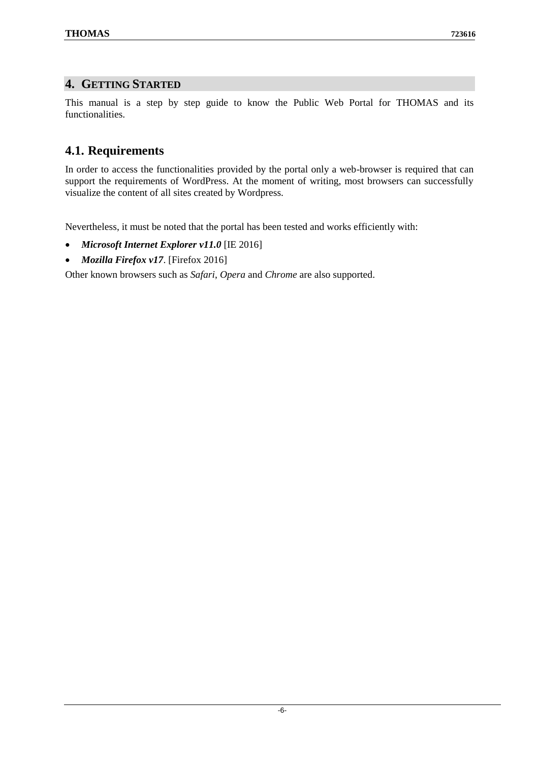### <span id="page-5-0"></span>**4. GETTING STARTED**

This manual is a step by step guide to know the Public Web Portal for THOMAS and its functionalities.

## <span id="page-5-1"></span>**4.1. Requirements**

In order to access the functionalities provided by the portal only a web-browser is required that can support the requirements of WordPress. At the moment of writing, most browsers can successfully visualize the content of all sites created by Wordpress.

Nevertheless, it must be noted that the portal has been tested and works efficiently with:

- *Microsoft Internet Explorer v11.0* [IE 2016]
- *Mozilla Firefox v17*. [Firefox 2016]

Other known browsers such as *Safari*, *Opera* and *Chrome* are also supported.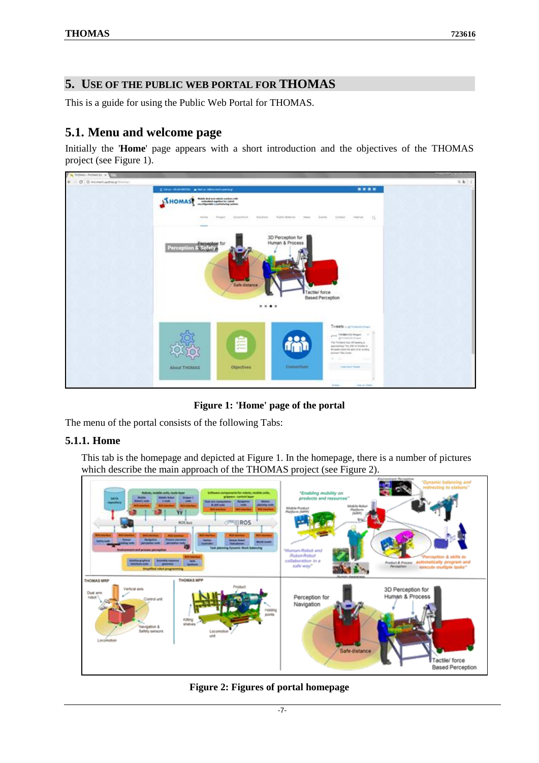### <span id="page-6-0"></span>**5. USE OF THE PUBLIC WEB PORTAL FOR THOMAS**

This is a guide for using the Public Web Portal for THOMAS.

## <span id="page-6-1"></span>**5.1. Menu and welcome page**

Initially the '**Home**' page appears with a short introduction and the objectives of the THOMAS project (see [Figure 1\)](#page-6-3).



**Figure 1: 'Home' page of the portal**

<span id="page-6-3"></span>The menu of the portal consists of the following Tabs:

#### <span id="page-6-2"></span>**5.1.1. Home**

This tab is the homepage and depicted at Figure 1. In the homepage, there is a number of pictures which describe the main approach of the THOMAS project (see Figure 2).



<span id="page-6-4"></span>**Figure 2: Figures of portal homepage**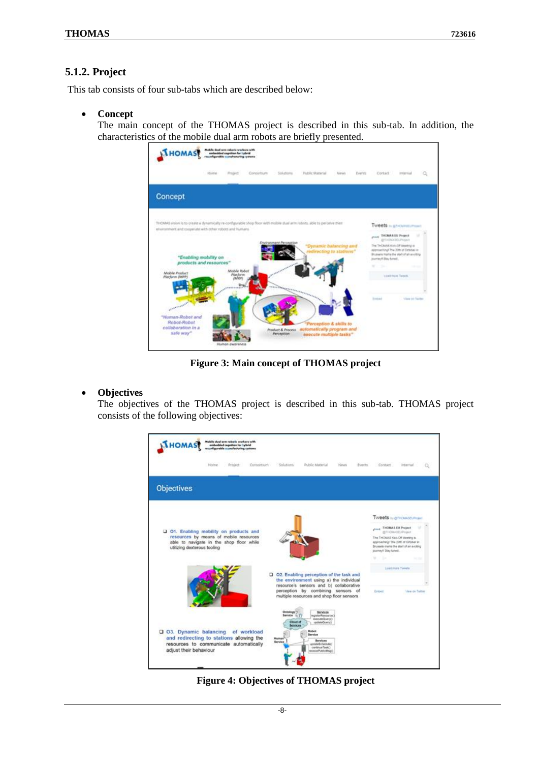#### <span id="page-7-0"></span>**5.1.2. Project**

This tab consists of four sub-tabs which are described below:

**Concept**

The main concept of the THOMAS project is described in this sub-tab. In addition, the characteristics of the mobile dual arm robots are briefly presented.



**Figure 3: Main concept of THOMAS project**

#### <span id="page-7-1"></span>**Objectives**

The objectives of the THOMAS project is described in this sub-tab. THOMAS project consists of the following objectives:



<span id="page-7-2"></span>**Figure 4: Objectives of THOMAS project**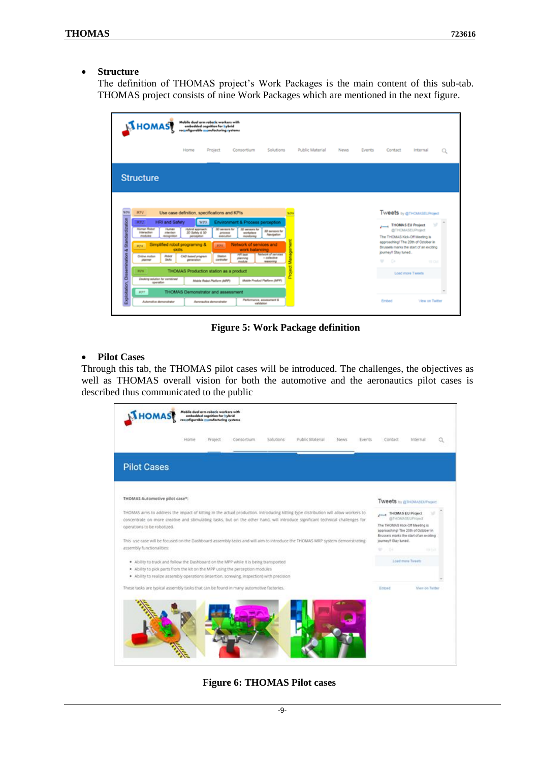#### **Structure**

The definition of THOMAS project's Work Packages is the main content of this sub-tab. THOMAS project consists of nine Work Packages which are mentioned in the next figure.

| <b>AHOMAS</b>                                                                                                                                                                                                                                                                                    | le dual erm robe lit workers with<br>embedded cognition for hybrid<br>reconfigurable monufecturing crossms                                                                                                                                                                                           |                                                                                                                                                                                                                                                      |                                                                                                                                                          |                 |             |        |                                                                                                                                   |                                                                                                                |   |
|--------------------------------------------------------------------------------------------------------------------------------------------------------------------------------------------------------------------------------------------------------------------------------------------------|------------------------------------------------------------------------------------------------------------------------------------------------------------------------------------------------------------------------------------------------------------------------------------------------------|------------------------------------------------------------------------------------------------------------------------------------------------------------------------------------------------------------------------------------------------------|----------------------------------------------------------------------------------------------------------------------------------------------------------|-----------------|-------------|--------|-----------------------------------------------------------------------------------------------------------------------------------|----------------------------------------------------------------------------------------------------------------|---|
|                                                                                                                                                                                                                                                                                                  | Home<br>Project                                                                                                                                                                                                                                                                                      | Consortium                                                                                                                                                                                                                                           | <b>Solutions</b>                                                                                                                                         | Public Material | <b>News</b> | Events | Contact                                                                                                                           | Internal                                                                                                       | Q |
| <b>Structure</b>                                                                                                                                                                                                                                                                                 |                                                                                                                                                                                                                                                                                                      |                                                                                                                                                                                                                                                      |                                                                                                                                                          |                 |             |        |                                                                                                                                   |                                                                                                                |   |
| <b>WP</b><br>HP2<br>HRI and Safety<br>872<br><b>Human Robot</b><br><b>Human</b><br><b>Interaction</b><br><b><i>Interdices</i></b><br>modules<br>recognition<br><b>RPA</b><br>Robot<br>Cryline matiger<br>Saha<br>planner<br><b>WP6</b><br>۰<br>Docking solution for combined<br>aperation<br>RP2 | Use case definition, specifications and KPIs<br>WP3<br>Hybrid approach<br>30 Safety & 30<br>perception<br>Simplified robot programing &<br>skills<br>CAD based program<br>personalism<br>THOMAS Production station as a product<br>Mobile Robot Platform JMRP)<br>THOMAS Demonstrator and assessment | Environment & Process perception<br>30 sensors for<br>30 senare for<br>workplace<br>Artistante<br>manufice<br>manhoire<br>Network of services and<br><b>ATPS!</b><br>work balancing<br><b>ART MAR</b><br>Station<br>plenning<br>controller<br>module | <b>WP</b><br>30 sensors for<br>Alexander<br><b>Network of pervises</b><br>- colective<br><b><i><u>REASONING</u></i></b><br>Mobile Product Platform (MPP) |                 |             |        | THOMAS EU Project<br>The THOMAS Kick-Off Meeting is<br>Brussels marks the start of an exciting<br>journey!! Stay tuned<br>÷<br>G+ | Tweets is genousseled<br>@THOMASEUProject<br>approaching! The 20th of October in<br>19 Oct<br>Load more Tweets |   |
| Automotive demonstrator                                                                                                                                                                                                                                                                          | Aaronautics demonstrator                                                                                                                                                                                                                                                                             | variatetion                                                                                                                                                                                                                                          | Performance, assessment &                                                                                                                                |                 |             |        | Embed                                                                                                                             | <b>Mear on Twitter</b>                                                                                         |   |

**Figure 5: Work Package definition**

#### <span id="page-8-0"></span>**Pilot Cases**

Through this tab, the THOMAS pilot cases will be introduced. The challenges, the objectives as well as THOMAS overall vision for both the automotive and the aeronautics pilot cases is described thus communicated to the public

<span id="page-8-1"></span>

**Figure 6: THOMAS Pilot cases**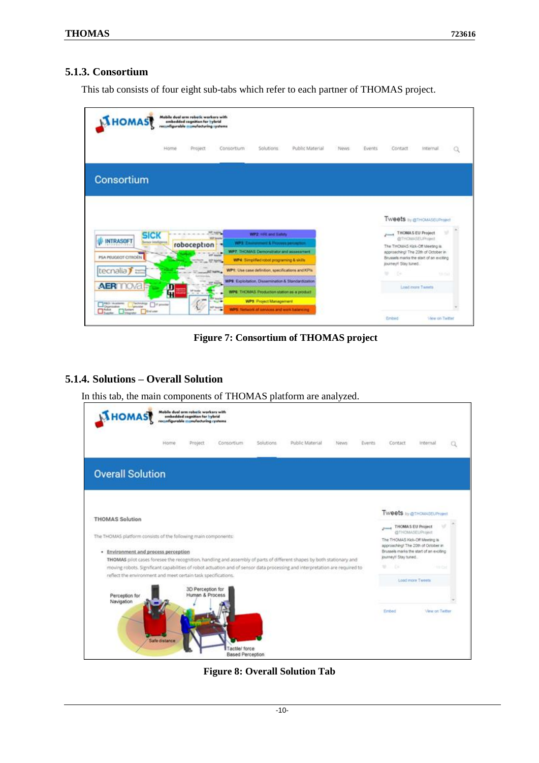#### <span id="page-9-0"></span>**5.1.3. Consortium**

This tab consists of four eight sub-tabs which refer to each partner of THOMAS project.



**Figure 7: Consortium of THOMAS project**

#### <span id="page-9-2"></span><span id="page-9-1"></span>**5.1.4. Solutions – Overall Solution**

In this tab, the main components of THOMAS platform are analyzed.

<span id="page-9-3"></span>

**Figure 8: Overall Solution Tab**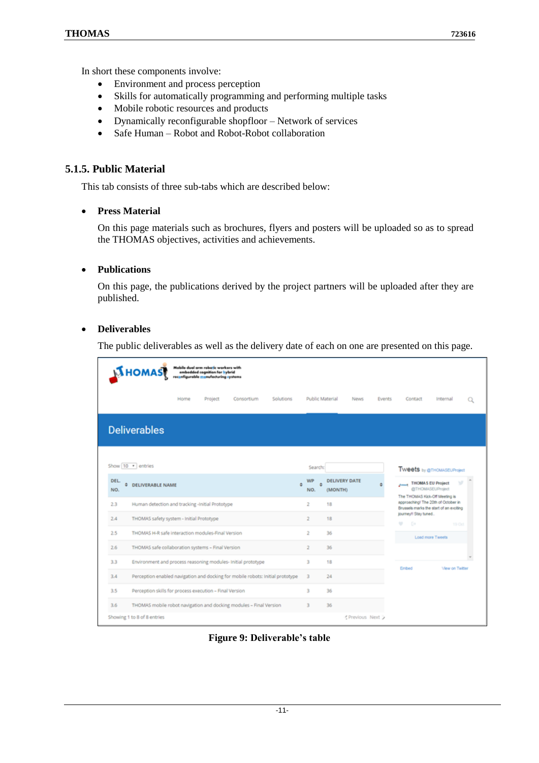In short these components involve:

- Environment and process perception
- Skills for automatically programming and performing multiple tasks
- Mobile robotic resources and products
- Dynamically reconfigurable shopfloor Network of services
- Safe Human Robot and Robot-Robot collaboration

#### <span id="page-10-0"></span>**5.1.5. Public Material**

This tab consists of three sub-tabs which are described below:

#### **Press Material**

On this page materials such as brochures, flyers and posters will be uploaded so as to spread the THOMAS objectives, activities and achievements.

#### **Publications**

On this page, the publications derived by the project partners will be uploaded after they are published.

#### **Deliverables**

The public deliverables as well as the delivery date of each on one are presented on this page.

| <b>NHOMAS</b>               |                                                                                | Mabile dual arm robotic workers with<br>embedded cognition for hybrid<br>reconfigurable monufacturing systems |            |           |                 |                                 |                                                                                |               |                                         |                                                   |   |
|-----------------------------|--------------------------------------------------------------------------------|---------------------------------------------------------------------------------------------------------------|------------|-----------|-----------------|---------------------------------|--------------------------------------------------------------------------------|---------------|-----------------------------------------|---------------------------------------------------|---|
|                             | Home                                                                           | Project                                                                                                       | Consortium | Solutions | Public Material |                                 | <b>News</b>                                                                    | <b>Events</b> | Contact                                 | Internal                                          | Q |
| <b>Deliverables</b>         |                                                                                |                                                                                                               |            |           |                 |                                 |                                                                                |               |                                         |                                                   |   |
| Show 10 . entries           |                                                                                |                                                                                                               |            |           | Search:         |                                 |                                                                                |               |                                         | <b>Tweets by @THOMASEUProject</b>                 |   |
| <b>DEL</b><br>٥<br>NO.      | <b>DELIVERABLE NAME</b>                                                        |                                                                                                               |            | ÷         | WP<br>NO.       | <b>DELIVERY DATE</b><br>(MONTH) |                                                                                |               | وسندى<br>The THOMAS Kick-Off Meeting is | w<br><b>THOMAS EU Project</b><br>@THOMASEUProject |   |
| 2.3                         | Human detection and tracking -initial Prototype                                |                                                                                                               | 2          | 18        |                 |                                 | approaching! The 20th of October in<br>Brussels marks the start of an exciting |               |                                         |                                                   |   |
| 2.4                         | THOMAS safety system - Initial Prototype                                       |                                                                                                               |            |           | $\overline{2}$  | 18                              |                                                                                |               | journeyf! Stay tuned<br>٠<br><b>B</b>   | 19 Oct                                            |   |
| 2.5                         | THOMAS H-R safe interaction modules-Final Version                              |                                                                                                               |            |           | 2               | 36                              |                                                                                |               |                                         | Load more Tweets                                  |   |
| 2.6                         | THOMAS safe collaboration systems - Final Version                              |                                                                                                               |            |           | $\overline{z}$  | 36                              |                                                                                |               |                                         |                                                   |   |
| 3.3                         | Environment and process reasoning modules- Initial prototype                   |                                                                                                               |            |           | 3               | 18                              |                                                                                |               | Embed                                   | <b>View on Twitter</b>                            |   |
| 3.4                         | Perception enabled navigation and docking for mobile robots: Initial prototype |                                                                                                               |            |           | 3               | 24                              |                                                                                |               |                                         |                                                   |   |
| 3.5                         | Perception skills for process execution - Final Version                        |                                                                                                               |            |           | 3               | 36                              |                                                                                |               |                                         |                                                   |   |
| 3.6                         | THOMAS mobile robot navigation and docking modules - Final Version             |                                                                                                               |            |           | 3               | 36                              |                                                                                |               |                                         |                                                   |   |
| Showing 1 to 8 of 8 entries |                                                                                |                                                                                                               |            |           |                 |                                 | Previous Next >                                                                |               |                                         |                                                   |   |

<span id="page-10-1"></span>**Figure 9: Deliverable's table**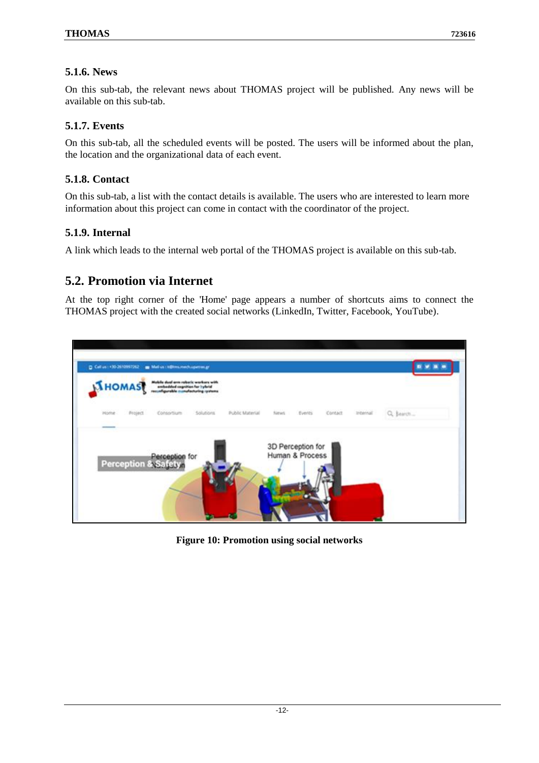### <span id="page-11-0"></span>**5.1.6. News**

On this sub-tab, the relevant news about THOMAS project will be published. Any news will be available on this sub-tab.

### <span id="page-11-1"></span>**5.1.7. Events**

On this sub-tab, all the scheduled events will be posted. The users will be informed about the plan, the location and the organizational data of each event.

### <span id="page-11-2"></span>**5.1.8. Contact**

On this sub-tab, a list with the contact details is available. The users who are interested to learn more information about this project can come in contact with the coordinator of the project.

### <span id="page-11-3"></span>**5.1.9. Internal**

A link which leads to the internal web portal of the THOMAS project is available on this sub-tab.

## <span id="page-11-4"></span>**5.2. Promotion via Internet**

At the top right corner of the 'Home' page appears a number of shortcuts aims to connect the THOMAS project with the created social networks (LinkedIn, Twitter, Facebook, YouTube).

<span id="page-11-5"></span>

**Figure 10: Promotion using social networks**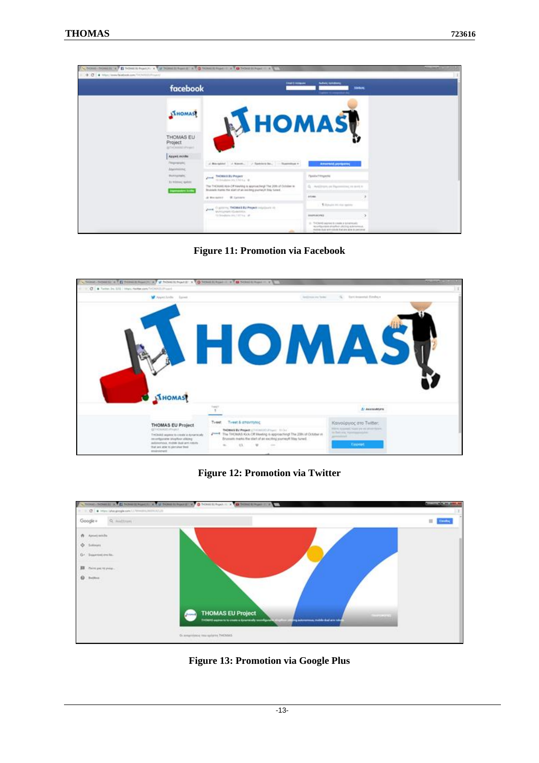

**Figure 11: Promotion via Facebook**

<span id="page-12-0"></span>

**Figure 12: Promotion via Twitter**

<span id="page-12-1"></span>

<span id="page-12-2"></span>**Figure 13: Promotion via Google Plus**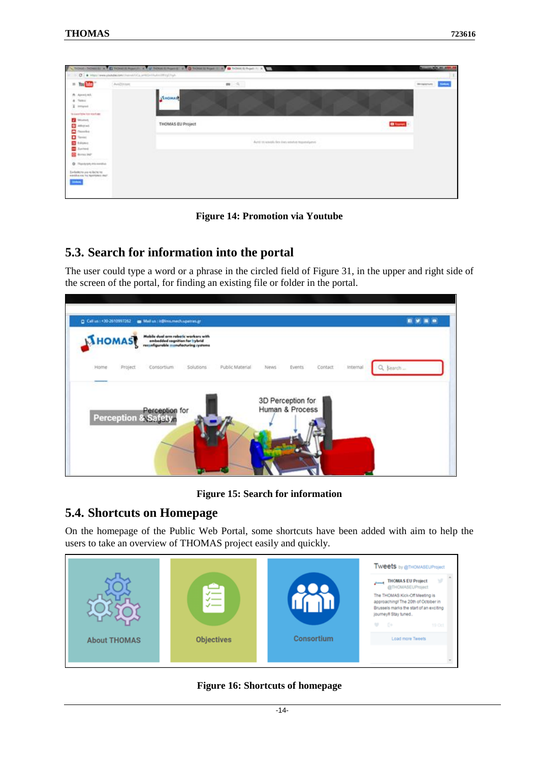| $= 700$                                                                  | [Auto201000] | $\mathbb{R}$ $\rightarrow$                                                          | <b>However Divers</b> |
|--------------------------------------------------------------------------|--------------|-------------------------------------------------------------------------------------|-----------------------|
| A Apreciati.<br>& Tent<br>X innigrad                                     |              | STHOMASTI                                                                           |                       |
| To a painting and recordings:<br><b>Ed Mounted</b>                       |              | THOMAS EU Project                                                                   | <b>Different</b>      |
| <b>D</b> Mitchell<br><b>D</b> National                                   |              |                                                                                     |                       |
| $\frac{1}{2}$<br><b>B</b> Service                                        |              | Auto 16 kings) das dars intehn trausnigens-<br>아들의 경우에서 중요한 경우 모양 사람이 아까 있는 것이 좋아하다 |                       |
| <b>BE done lost</b><br><b>Q</b> . Thereon mixedia.                       |              |                                                                                     |                       |
| Evelenteins are in being to:<br>earding on the meetings shall.<br>223620 |              |                                                                                     |                       |

**Figure 14: Promotion via Youtube**

## <span id="page-13-2"></span><span id="page-13-0"></span>**5.3. Search for information into the portal**

The user could type a word or a phrase in the circled field of Figure 31, in the upper and right side of the screen of the portal, for finding an existing file or folder in the portal.

| <b>IXHOMAS</b> |          | Mobile dual arm rebetic workers with<br>embedded cagnition for hybrid<br>reconfigurable inconfecturing systems |           |                 |      |                   |          |          |           |
|----------------|----------|----------------------------------------------------------------------------------------------------------------|-----------|-----------------|------|-------------------|----------|----------|-----------|
| Home           | Project: | Consortium                                                                                                     | Solutions | Public Material | News | Events            | Contact: | Internal | Q. Search |
|                |          |                                                                                                                |           |                 |      | 3D Perception for |          |          |           |
|                |          | Perception for<br><b>Perception &amp; Safety.</b>                                                              |           |                 |      | Human & Process   |          |          |           |
|                |          |                                                                                                                |           |                 |      |                   |          |          |           |

**Figure 15: Search for information**

## <span id="page-13-3"></span><span id="page-13-1"></span>**5.4. Shortcuts on Homepage**

On the homepage of the Public Web Portal, some shortcuts have been added with aim to help the users to take an overview of THOMAS project easily and quickly.

<span id="page-13-4"></span>

**Figure 16: Shortcuts of homepage**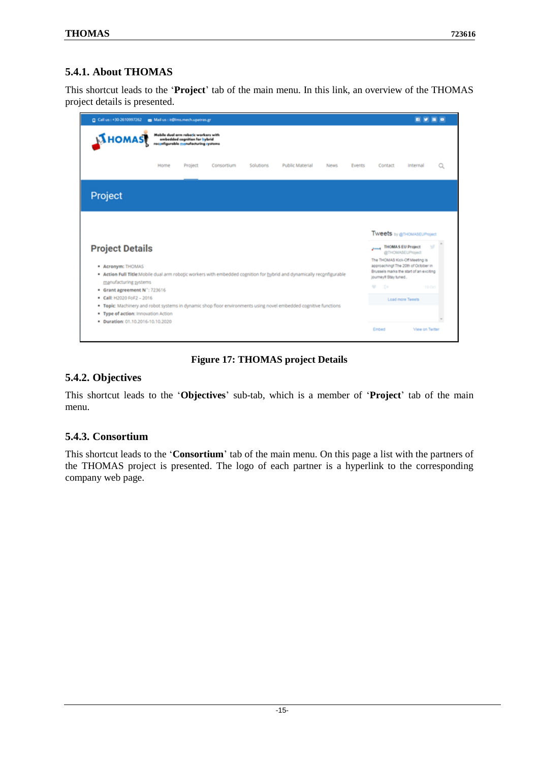### <span id="page-14-0"></span>**5.4.1. About THOMAS**

This shortcut leads to the '**Project**' tab of the main menu. In this link, an overview of the THOMAS project details is presented.

| C Call us : +30-2610997262                                                                                                                                                                                                                                                                                                                                                                                                                               |      | Mail us : it@ims.mech.upatras.gr |            |           |                 |       |               |                                                                                                                                                                                                                                         |                                                                                                             |  |
|----------------------------------------------------------------------------------------------------------------------------------------------------------------------------------------------------------------------------------------------------------------------------------------------------------------------------------------------------------------------------------------------------------------------------------------------------------|------|----------------------------------|------------|-----------|-----------------|-------|---------------|-----------------------------------------------------------------------------------------------------------------------------------------------------------------------------------------------------------------------------------------|-------------------------------------------------------------------------------------------------------------|--|
| <b>NHOMAS</b>                                                                                                                                                                                                                                                                                                                                                                                                                                            |      |                                  |            |           |                 |       |               |                                                                                                                                                                                                                                         |                                                                                                             |  |
|                                                                                                                                                                                                                                                                                                                                                                                                                                                          | Home | Project                          | Consortium | Solutions | Public Material | News. | <b>Events</b> | Contact                                                                                                                                                                                                                                 | Internal                                                                                                    |  |
| Project                                                                                                                                                                                                                                                                                                                                                                                                                                                  |      |                                  |            |           |                 |       |               |                                                                                                                                                                                                                                         |                                                                                                             |  |
| <b>Project Details</b><br>* Acronym: THOMAS<br>* Action Full Title:Mobile dual arm robotic workers with embedded cognition for hybrid and dynamically reconfigurable<br>manufacturing systems<br>· Grant agreement N': 723616<br>Call: H2020 FoF2 - 2016<br>. Topic: Machinery and robot systems in dynamic shop floor environments using novel embedded cognitive functions<br>. Type of action: Innovation Action<br>· Duration: 01.10.2016-10.10.2020 |      |                                  |            |           |                 |       |               | <b>Tweets</b> by @THOMASEUProject<br>$\overline{\phantom{a}}$<br>The THOMAS Kick-Off Meeting is<br>approaching! The 20th of October in<br>Brussels marks the start of an exciting<br>journey# Stay tuned<br>÷<br>$\Rightarrow$<br>Embed | <b>THOMAS EU Project</b><br>@THOMASEUPssject<br>19 Oct<br><b>Load more Tweets</b><br><b>View on Twitter</b> |  |

#### **Figure 17: THOMAS project Details**

### <span id="page-14-3"></span><span id="page-14-1"></span>**5.4.2. Objectives**

This shortcut leads to the '**Objectives**' sub-tab, which is a member of '**Project**' tab of the main menu.

#### <span id="page-14-2"></span>**5.4.3. Consortium**

This shortcut leads to the '**Consortium**' tab of the main menu. On this page a list with the partners of the THOMAS project is presented. The logo of each partner is a hyperlink to the corresponding company web page.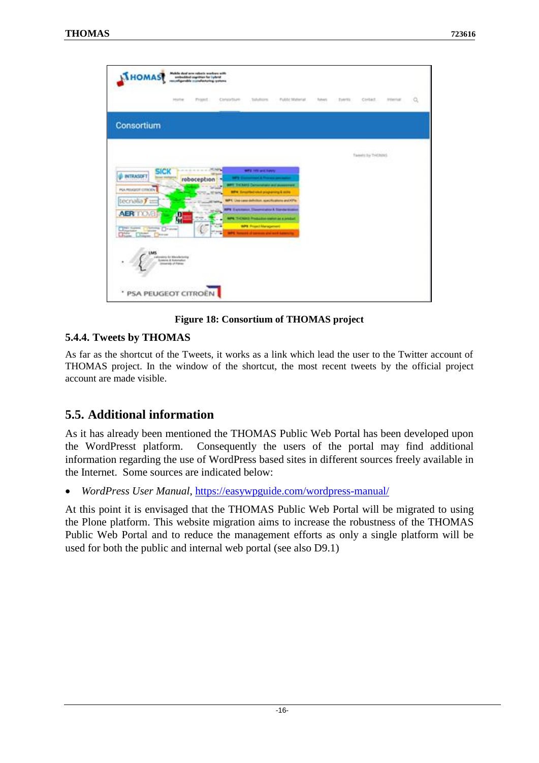

#### **Figure 18: Consortium of THOMAS project**

#### <span id="page-15-2"></span><span id="page-15-0"></span>**5.4.4. Tweets by THOMAS**

As far as the shortcut of the Tweets, it works as a link which lead the user to the Twitter account of THOMAS project. In the window of the shortcut, the most recent tweets by the official project account are made visible.

### <span id="page-15-1"></span>**5.5. Additional information**

As it has already been mentioned the THOMAS Public Web Portal has been developed upon the WordPresst platform. Consequently the users of the portal may find additional information regarding the use of WordPress based sites in different sources freely available in the Internet. Some sources are indicated below:

*WordPress User Manual*,<https://easywpguide.com/wordpress-manual/>

At this point it is envisaged that the THOMAS Public Web Portal will be migrated to using the Plone platform. This website migration aims to increase the robustness of the THOMAS Public Web Portal and to reduce the management efforts as only a single platform will be used for both the public and internal web portal (see also D9.1)